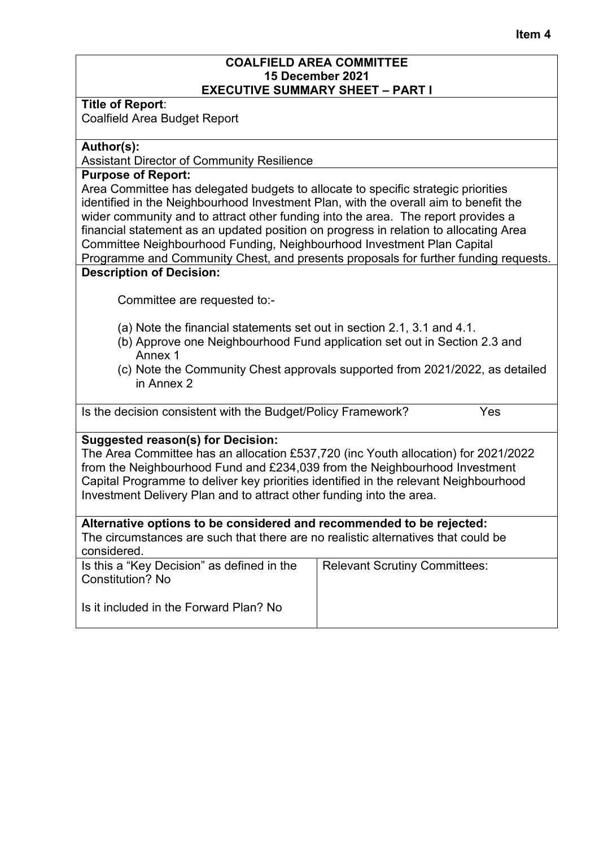### **Item 4**

### **COALFIELD AREA COMMITTEE 15 December 2021 EXECUTIVE SUMMARY SHEET – PART I**

**Title of Report**: Coalfield Area Budget Report

## **Author(s):**

Assistant Director of Community Resilience

### **Purpose of Report:**

Area Committee has delegated budgets to allocate to specific strategic priorities identified in the Neighbourhood Investment Plan, with the overall aim to benefit the wider community and to attract other funding into the area. The report provides a financial statement as an updated position on progress in relation to allocating Area Committee Neighbourhood Funding, Neighbourhood Investment Plan Capital Programme and Community Chest, and presents proposals for further funding requests.

## **Description of Decision:**

Committee are requested to:-

- (a) Note the financial statements set out in section 2.1, 3.1 and 4.1.
- (b) Approve one Neighbourhood Fund application set out in Section 2.3 and Annex 1
- (c) Note the Community Chest approvals supported from 2021/2022, as detailed in Annex 2

Is the decision consistent with the Budget/Policy Framework? Yes

## **Suggested reason(s) for Decision:**

The Area Committee has an allocation £537,720 (inc Youth allocation) for 2021/2022 from the Neighbourhood Fund and £234,039 from the Neighbourhood Investment Capital Programme to deliver key priorities identified in the relevant Neighbourhood Investment Delivery Plan and to attract other funding into the area.

## **Alternative options to be considered and recommended to be rejected:**

The circumstances are such that there are no realistic alternatives that could be considered.

| Is this a "Key Decision" as defined in the<br>Constitution? No | <b>Relevant Scrutiny Committees:</b> |
|----------------------------------------------------------------|--------------------------------------|
| Is it included in the Forward Plan? No                         |                                      |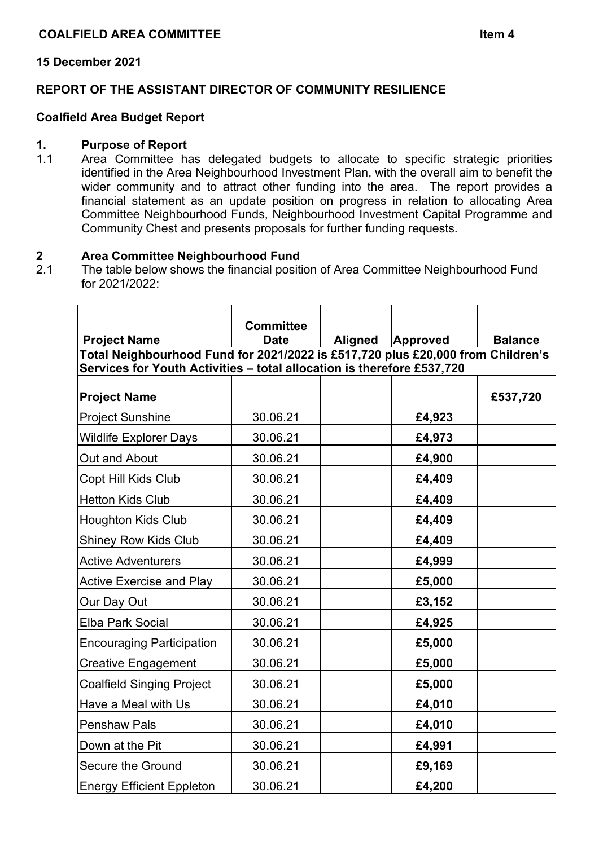## **15 December 2021**

## **REPORT OF THE ASSISTANT DIRECTOR OF COMMUNITY RESILIENCE**

## **Coalfield Area Budget Report**

#### **1. Purpose of Report**

1.1 Area Committee has delegated budgets to allocate to specific strategic priorities identified in the Area Neighbourhood Investment Plan, with the overall aim to benefit the wider community and to attract other funding into the area. The report provides a financial statement as an update position on progress in relation to allocating Area Committee Neighbourhood Funds, Neighbourhood Investment Capital Programme and Community Chest and presents proposals for further funding requests.

# **2 Area Committee Neighbourhood Fund**

The table below shows the financial position of Area Committee Neighbourhood Fund for 2021/2022:

|                                                                                 | <b>Committee</b> |  |                  |                |
|---------------------------------------------------------------------------------|------------------|--|------------------|----------------|
| <b>Project Name</b>                                                             | <b>Date</b>      |  | Aligned Approved | <b>Balance</b> |
| Total Neighbourhood Fund for 2021/2022 is £517,720 plus £20,000 from Children's |                  |  |                  |                |
| Services for Youth Activities - total allocation is therefore £537,720          |                  |  |                  |                |
| <b>Project Name</b>                                                             |                  |  |                  | £537,720       |
| <b>Project Sunshine</b>                                                         | 30.06.21         |  | £4,923           |                |
| <b>Wildlife Explorer Days</b>                                                   | 30.06.21         |  | £4,973           |                |
| Out and About                                                                   | 30.06.21         |  | £4,900           |                |
| Copt Hill Kids Club                                                             | 30.06.21         |  | £4,409           |                |
| <b>Hetton Kids Club</b>                                                         | 30.06.21         |  | £4,409           |                |
| <b>Houghton Kids Club</b>                                                       | 30.06.21         |  | £4,409           |                |
| <b>Shiney Row Kids Club</b>                                                     | 30.06.21         |  | £4,409           |                |
| <b>Active Adventurers</b>                                                       | 30.06.21         |  | £4,999           |                |
| <b>Active Exercise and Play</b>                                                 | 30.06.21         |  | £5,000           |                |
| Our Day Out                                                                     | 30.06.21         |  | £3,152           |                |
| <b>Elba Park Social</b>                                                         | 30.06.21         |  | £4,925           |                |
| <b>Encouraging Participation</b>                                                | 30.06.21         |  | £5,000           |                |
| <b>Creative Engagement</b>                                                      | 30.06.21         |  | £5,000           |                |
| <b>Coalfield Singing Project</b>                                                | 30.06.21         |  | £5,000           |                |
| Have a Meal with Us                                                             | 30.06.21         |  | £4,010           |                |
| <b>Penshaw Pals</b>                                                             | 30.06.21         |  | £4,010           |                |
| Down at the Pit                                                                 | 30.06.21         |  | £4,991           |                |
| Secure the Ground                                                               | 30.06.21         |  | £9,169           |                |
| <b>Energy Efficient Eppleton</b>                                                | 30.06.21         |  | £4,200           |                |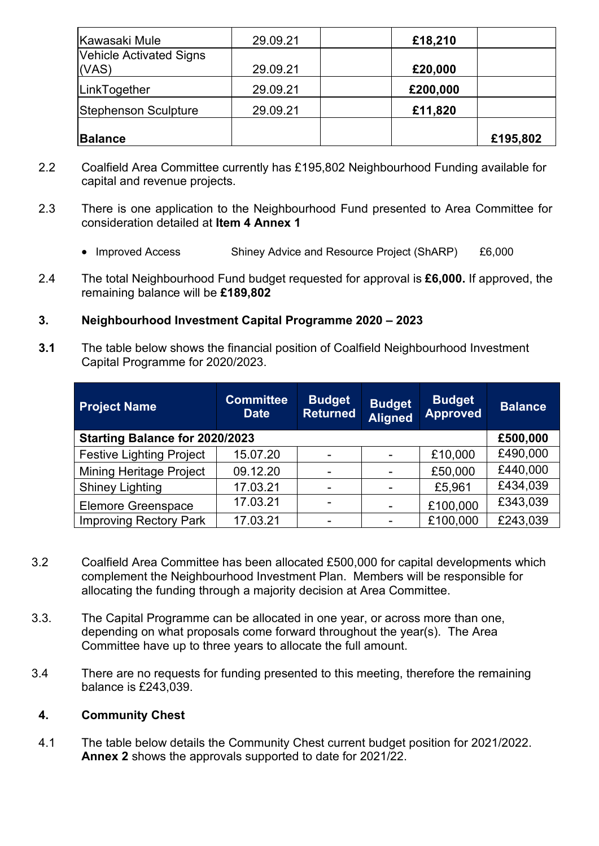| Kawasaki Mule                  | 29.09.21 | £18,210  |          |
|--------------------------------|----------|----------|----------|
| <b>Vehicle Activated Signs</b> |          |          |          |
| (VAS)                          | 29.09.21 | £20,000  |          |
| LinkTogether                   | 29.09.21 | £200,000 |          |
| <b>Stephenson Sculpture</b>    | 29.09.21 | £11,820  |          |
| <b>Balance</b>                 |          |          | £195,802 |

- 2.2 Coalfield Area Committee currently has £195,802 Neighbourhood Funding available for capital and revenue projects.
- 2.3 There is one application to the Neighbourhood Fund presented to Area Committee for consideration detailed at **Item 4 Annex 1**
	- Improved Access Shiney Advice and Resource Project (ShARP) £6,000
- 2.4 The total Neighbourhood Fund budget requested for approval is **£6,000.** If approved, the remaining balance will be **£189,802**
- **3. Neighbourhood Investment Capital Programme 2020 – 2023**
- **3.1** The table below shows the financial position of Coalfield Neighbourhood Investment Capital Programme for 2020/2023.

| <b>Project Name</b>             | <b>Committee</b><br><b>Date</b> | <b>Budget</b><br><b>Returned</b> | <b>Budget</b><br>Aligned | <b>Budget</b><br><b>Approved</b> | <b>Balance</b> |
|---------------------------------|---------------------------------|----------------------------------|--------------------------|----------------------------------|----------------|
| Starting Balance for 2020/2023  |                                 |                                  |                          |                                  | £500,000       |
| <b>Festive Lighting Project</b> | 15.07.20                        |                                  |                          | £10,000                          | £490,000       |
| <b>Mining Heritage Project</b>  | 09.12.20                        |                                  |                          | £50,000                          | £440,000       |
| <b>Shiney Lighting</b>          | 17.03.21                        |                                  |                          | £5,961                           | £434,039       |
| <b>Elemore Greenspace</b>       | 17.03.21                        | $\overline{\phantom{0}}$         | $\overline{\phantom{a}}$ | £100,000                         | £343,039       |
| <b>Improving Rectory Park</b>   | 17.03.21                        |                                  |                          | £100,000                         | £243,039       |

- 3.2 Coalfield Area Committee has been allocated £500,000 for capital developments which complement the Neighbourhood Investment Plan. Members will be responsible for allocating the funding through a majority decision at Area Committee.
- 3.3. The Capital Programme can be allocated in one year, or across more than one, depending on what proposals come forward throughout the year(s). The Area Committee have up to three years to allocate the full amount.
- 3.4 There are no requests for funding presented to this meeting, therefore the remaining balance is £243,039.

## **4. Community Chest**

4.1 The table below details the Community Chest current budget position for 2021/2022. **Annex 2** shows the approvals supported to date for 2021/22.